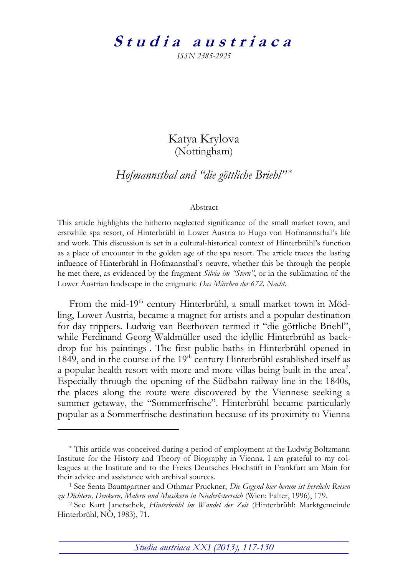## Studia austriaca

*ISSN 2385-2925*

## Katya Krylova (Nottingham)

*Hofmannsthal and "die göttliche Briehl"* \*

## Abstract

This article highlights the hitherto neglected significance of the small market town, and erstwhile spa resort, of Hinterbrühl in Lower Austria to Hugo von Hofmannsthal's life and work. This discussion is set in a cultural-historical context of Hinterbrühl's function as a place of encounter in the golden age of the spa resort. The article traces the lasting influence of Hinterbrühl in Hofmannsthal's oeuvre, whether this be through the people he met there, as evidenced by the fragment *Silvia im "Stern"*, or in the sublimation of the Lower Austrian landscape in the enigmatic *Das Märchen der 672. Nacht*.

From the mid-19<sup>th</sup> century Hinterbrühl, a small market town in Mödling, Lower Austria, became a magnet for artists and a popular destination for day trippers. Ludwig van Beethoven termed it "die göttliche Briehl", while Ferdinand Georg Waldmüller used the idyllic Hinterbrühl as backdrop for his paintings<sup>1</sup>. The first public baths in Hinterbrühl opened in 1849, and in the course of the 19<sup>th</sup> century Hinterbrühl established itself as a popular health resort with more and more villas being built in the area<sup>2</sup>. Especially through the opening of the Südbahn railway line in the 1840s, the places along the route were discovered by the Viennese seeking a summer getaway, the "Sommerfrische". Hinterbrühl became particularly popular as a Sommerfrische destination because of its proximity to Vienna

-

\_\_\_\_\_\_\_\_\_\_\_\_\_\_\_\_\_\_\_\_\_\_\_\_\_\_\_\_\_\_\_\_\_\_\_\_\_\_\_\_\_\_\_\_\_\_\_\_\_\_\_\_\_\_\_\_\_ *Studia austriaca XXI (2013), 117-130* **¯¯¯¯¯¯¯¯¯¯¯¯¯¯¯¯¯¯¯¯¯¯¯¯¯¯¯¯¯¯¯¯¯¯¯¯¯¯¯¯¯¯¯¯¯¯¯¯¯¯¯¯¯¯¯¯¯**

<sup>\*</sup> This article was conceived during a period of employment at the Ludwig Boltzmann Institute for the History and Theory of Biography in Vienna. I am grateful to my colleagues at the Institute and to the Freies Deutsches Hochstift in Frankfurt am Main for their advice and assistance with archival sources.

<sup>1</sup> See Senta Baumgartner and Othmar Pruckner, *Die Gegend hier herum ist herrlich: Reisen zu Dichtern, Denkern, Malern und Musikern in Niederösterreich* (Wien: Falter, 1996), 179.

<sup>2</sup> See Kurt Janetschek, *Hinterbrühl im Wandel der Zeit* (Hinterbrühl: Marktgemeinde Hinterbrühl, NÖ, 1983), 71.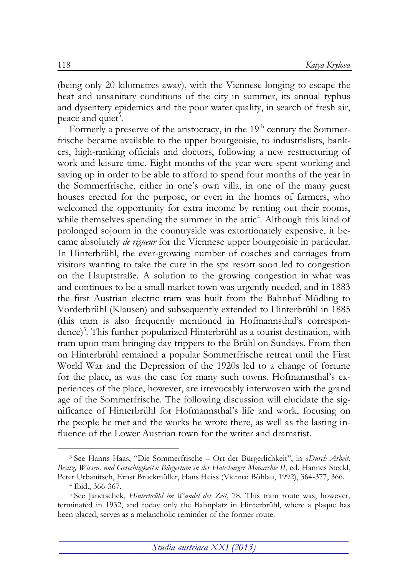(being only 20 kilometres away), with the Viennese longing to escape the heat and unsanitary conditions of the city in summer, its annual typhus and dysentery epidemics and the poor water quality, in search of fresh air, peace and quiet<sup>3</sup>.

Formerly a preserve of the aristocracy, in the  $19<sup>th</sup>$  century the Sommerfrische became available to the upper bourgeoisie, to industrialists, bankers, high-ranking officials and doctors, following a new restructuring of work and leisure time. Eight months of the year were spent working and saving up in order to be able to afford to spend four months of the year in the Sommerfrische, either in one's own villa, in one of the many guest houses erected for the purpose, or even in the homes of farmers, who welcomed the opportunity for extra income by renting out their rooms, while themselves spending the summer in the attic<sup>4</sup>. Although this kind of prolonged sojourn in the countryside was extortionately expensive, it became absolutely *de rigueur* for the Viennese upper bourgeoisie in particular. In Hinterbrühl, the ever-growing number of coaches and carriages from visitors wanting to take the cure in the spa resort soon led to congestion on the Hauptstraße. A solution to the growing congestion in what was and continues to be a small market town was urgently needed, and in 1883 the first Austrian electric tram was built from the Bahnhof Mödling to Vorderbrühl (Klausen) and subsequently extended to Hinterbrühl in 1885 (this tram is also frequently mentioned in Hofmannsthal's correspondence)<sup>5</sup> . This further popularized Hinterbrühl as a tourist destination, with tram upon tram bringing day trippers to the Brühl on Sundays. From then on Hinterbrühl remained a popular Sommerfrische retreat until the First World War and the Depression of the 1920s led to a change of fortune for the place, as was the case for many such towns. Hofmannsthal's experiences of the place, however, are irrevocably interwoven with the grand age of the Sommerfrische. The following discussion will elucidate the significance of Hinterbrühl for Hofmannsthal's life and work, focusing on the people he met and the works he wrote there, as well as the lasting influence of the Lower Austrian town for the writer and dramatist.

<sup>3</sup> See Hanns Haas, "Die Sommerfrische – Ort der Bürgerlichkeit", in *«Durch Arbeit,*  Besitz, Wissen, und Gerechtigkeit»: Bürgertum in der Habsburger Monarchie II, ed. Hannes Steckl, Peter Urbanitsch, Ernst Bruckmüller, Hans Heiss (Vienna: Böhlau, 1992), 364-377, 366.

<sup>4</sup> Ibid., 366-367.

<sup>5</sup> See Janetschek, *Hinterbrühl im Wandel der Zeit*, 78. This tram route was, however, terminated in 1932, and today only the Bahnplatz in Hinterbrühl, where a plaque has been placed, serves as a melancholic reminder of the former route.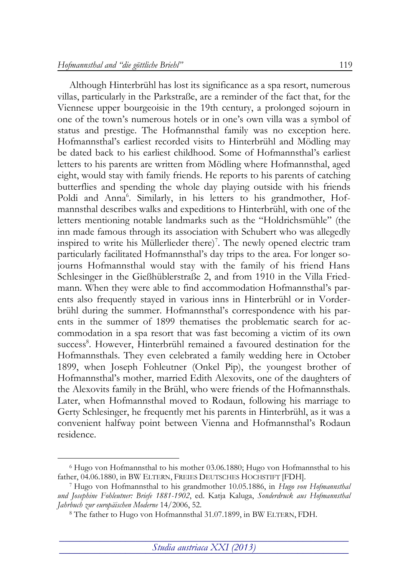-

Although Hinterbrühl has lost its significance as a spa resort, numerous villas, particularly in the Parkstraße, are a reminder of the fact that, for the Viennese upper bourgeoisie in the 19th century, a prolonged sojourn in one of the town's numerous hotels or in one's own villa was a symbol of status and prestige. The Hofmannsthal family was no exception here. Hofmannsthal's earliest recorded visits to Hinterbrühl and Mödling may be dated back to his earliest childhood. Some of Hofmannsthal's earliest letters to his parents are written from Mödling where Hofmannsthal, aged eight, would stay with family friends. He reports to his parents of catching butterflies and spending the whole day playing outside with his friends Poldi and Anna<sup>6</sup>. Similarly, in his letters to his grandmother, Hofmannsthal describes walks and expeditions to Hinterbrühl, with one of the letters mentioning notable landmarks such as the "Holdrichsmühle" (the inn made famous through its association with Schubert who was allegedly inspired to write his Müllerlieder there)<sup>7</sup>. The newly opened electric tram particularly facilitated Hofmannsthal's day trips to the area. For longer sojourns Hofmannsthal would stay with the family of his friend Hans Schlesinger in the Gießhüblerstraße 2, and from 1910 in the Villa Friedmann. When they were able to find accommodation Hofmannsthal's parents also frequently stayed in various inns in Hinterbrühl or in Vorderbrühl during the summer. Hofmannsthal's correspondence with his parents in the summer of 1899 thematises the problematic search for accommodation in a spa resort that was fast becoming a victim of its own success<sup>8</sup>. However, Hinterbrühl remained a favoured destination for the Hofmannsthals. They even celebrated a family wedding here in October 1899, when Joseph Fohleutner (Onkel Pip), the youngest brother of Hofmannsthal's mother, married Edith Alexovits, one of the daughters of the Alexovits family in the Brühl, who were friends of the Hofmannsthals. Later, when Hofmannsthal moved to Rodaun, following his marriage to Gerty Schlesinger, he frequently met his parents in Hinterbrühl, as it was a convenient halfway point between Vienna and Hofmannsthal's Rodaun residence.

<sup>6</sup> Hugo von Hofmannsthal to his mother 03.06.1880; Hugo von Hofmannsthal to his father, 04.06.1880, in BW ELTERN, FREIES DEUTSCHES HOCHSTIFT [FDH].

<sup>7</sup> Hugo von Hofmannsthal to his grandmother 10.05.1886, in *Hugo von Hofmannsthal und Josephine Fohleutner: Briefe 1881-1902*, ed. Katja Kaluga, *Sonderdruck aus Hofmannsthal Jahrbuch zur europäischen Moderne* 14/2006, 52.

<sup>8</sup> The father to Hugo von Hofmannsthal 31.07.1899, in BW ELTERN, FDH.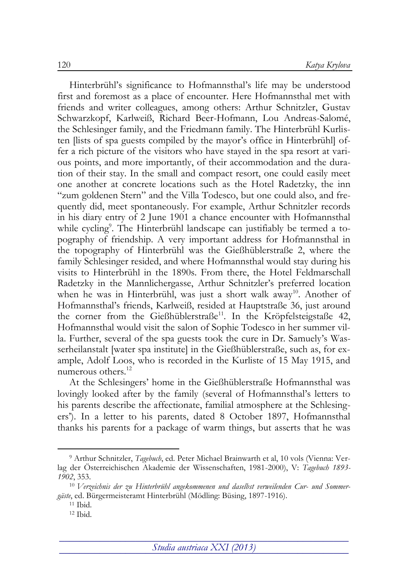Hinterbrühl's significance to Hofmannsthal's life may be understood first and foremost as a place of encounter. Here Hofmannsthal met with friends and writer colleagues, among others: Arthur Schnitzler, Gustav Schwarzkopf, Karlweiß, Richard Beer-Hofmann, Lou Andreas-Salomé, the Schlesinger family, and the Friedmann family. The Hinterbrühl Kurlisten [lists of spa guests compiled by the mayor's office in Hinterbrühl] offer a rich picture of the visitors who have stayed in the spa resort at various points, and more importantly, of their accommodation and the duration of their stay. In the small and compact resort, one could easily meet one another at concrete locations such as the Hotel Radetzky, the inn "zum goldenen Stern" and the Villa Todesco, but one could also, and frequently did, meet spontaneously. For example, Arthur Schnitzler records in his diary entry of 2 June 1901 a chance encounter with Hofmannsthal while cycling<sup>9</sup>. The Hinterbrühl landscape can justifiably be termed a topography of friendship. A very important address for Hofmannsthal in the topography of Hinterbrühl was the Gießhüblerstraße 2, where the family Schlesinger resided, and where Hofmannsthal would stay during his visits to Hinterbrühl in the 1890s. From there, the Hotel Feldmarschall Radetzky in the Mannlichergasse, Arthur Schnitzler's preferred location when he was in Hinterbrühl, was just a short walk away<sup>10</sup>. Another of Hofmannsthal's friends, Karlweiß, resided at Hauptstraße 36, just around the corner from the Gießhüblerstraße<sup>11</sup>. In the Kröpfelsteigstaße 42, Hofmannsthal would visit the salon of Sophie Todesco in her summer villa. Further, several of the spa guests took the cure in Dr. Samuely's Wasserheilanstalt [water spa institute] in the Gießhüblerstraße, such as, for example, Adolf Loos, who is recorded in the Kurliste of 15 May 1915, and numerous others.<sup>12</sup>

At the Schlesingers' home in the Gießhüblerstraße Hofmannsthal was lovingly looked after by the family (several of Hofmannsthal's letters to his parents describe the affectionate, familial atmosphere at the Schlesingers'). In a letter to his parents, dated 8 October 1897, Hofmannsthal thanks his parents for a package of warm things, but asserts that he was

<sup>9</sup> Arthur Schnitzler, *Tagebuch*, ed. Peter Michael Brainwarth et al, 10 vols (Vienna: Verlag der Österreichischen Akademie der Wissenschaften, 1981-2000), V: *Tagebuch 1893- 1902*, 353.

<sup>10</sup> *Verzeichnis der zu Hinterbrühl angekommenen und daselbst verweilenden Cur- und Sommergäste*, ed. Bürgermeisteramt Hinterbrühl (Mödling: Büsing, 1897-1916).

<sup>11</sup> Ibid.

 $12$  Ibid.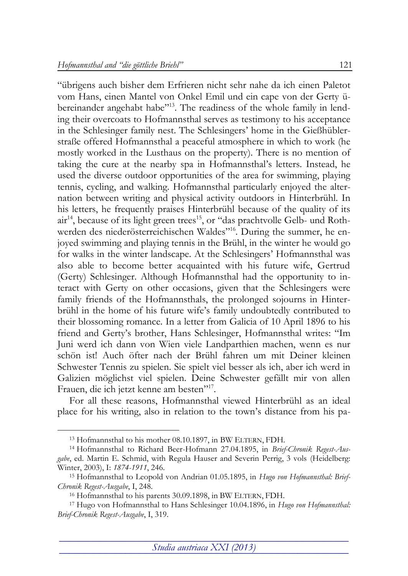"übrigens auch bisher dem Erfrieren nicht sehr nahe da ich einen Paletot vom Hans, einen Mantel von Onkel Emil und ein cape von der Gerty übereinander angehabt habe"<sup>13</sup>. The readiness of the whole family in lending their overcoats to Hofmannsthal serves as testimony to his acceptance in the Schlesinger family nest. The Schlesingers' home in the Gießhüblerstraße offered Hofmannsthal a peaceful atmosphere in which to work (he mostly worked in the Lusthaus on the property). There is no mention of taking the cure at the nearby spa in Hofmannsthal's letters. Instead, he used the diverse outdoor opportunities of the area for swimming, playing tennis, cycling, and walking. Hofmannsthal particularly enjoyed the alternation between writing and physical activity outdoors in Hinterbrühl. In his letters, he frequently praises Hinterbrühl because of the quality of its air<sup>14</sup>, because of its light green trees<sup>15</sup>, or "das prachtvolle Gelb- und Rothwerden des niederösterreichischen Waldes"<sup>16</sup>. During the summer, he enjoyed swimming and playing tennis in the Brühl, in the winter he would go for walks in the winter landscape. At the Schlesingers' Hofmannsthal was also able to become better acquainted with his future wife, Gertrud (Gerty) Schlesinger. Although Hofmannsthal had the opportunity to interact with Gerty on other occasions, given that the Schlesingers were family friends of the Hofmannsthals, the prolonged sojourns in Hinterbrühl in the home of his future wife's family undoubtedly contributed to their blossoming romance. In a letter from Galicia of 10 April 1896 to his friend and Gerty's brother, Hans Schlesinger, Hofmannsthal writes: "Im Juni werd ich dann von Wien viele Landparthien machen, wenn es nur schön ist! Auch öfter nach der Brühl fahren um mit Deiner kleinen Schwester Tennis zu spielen. Sie spielt viel besser als ich, aber ich werd in Galizien möglichst viel spielen. Deine Schwester gefällt mir von allen Frauen, die ich jetzt kenne am besten"<sup>17</sup>.

For all these reasons, Hofmannsthal viewed Hinterbrühl as an ideal place for his writing, also in relation to the town's distance from his pa-

<sup>13</sup> Hofmannsthal to his mother 08.10.1897, in BW ELTERN, FDH.

<sup>14</sup> Hofmannsthal to Richard Beer-Hofmann 27.04.1895, in *Brief-Chronik Regest-Ausgabe*, ed. Martin E. Schmid, with Regula Hauser and Severin Perrig, 3 vols (Heidelberg: Winter, 2003), I: *1874-1911*, 246.

<sup>15</sup> Hofmannsthal to Leopold von Andrian 01.05.1895, in *Hugo von Hofmannsthal: Brief-Chronik Regest-Ausgabe*, I, 248.

<sup>16</sup> Hofmannsthal to his parents 30.09.1898, in BW ELTERN, FDH.

<sup>17</sup> Hugo von Hofmannsthal to Hans Schlesinger 10.04.1896, in *Hugo von Hofmannsthal: Brief-Chronik Regest-Ausgabe*, I, 319.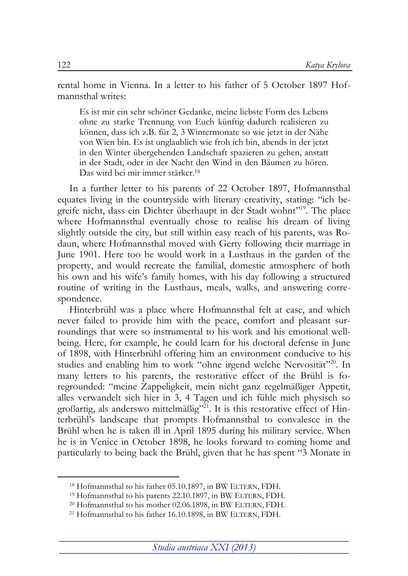rental home in Vienna. In a letter to his father of 5 October 1897 Hofmannsthal writes:

Es ist mir ein sehr schöner Gedanke, meine liebste Form des Lebens ohne zu starke Trennung von Euch künftig dadurch realisieren zu können, dass ich z.B. für 2, 3 Wintermonate so wie jetzt in der Nähe von Wien bin. Es ist unglaublich wie froh ich bin, abends in der jetzt in den Winter übergehenden Landschaft spazieren zu gehen, anstatt in der Stadt, oder in der Nacht den Wind in den Bäumen zu hören. Das wird bei mir immer stärker.<sup>18</sup>

In a further letter to his parents of 22 October 1897, Hofmannsthal equates living in the countryside with literary creativity, stating: "ich begreife nicht, dass ein Dichter überhaupt in der Stadt wohnt" 19 . The place where Hofmannsthal eventually chose to realise his dream of living slightly outside the city, but still within easy reach of his parents, was Rodaun, where Hofmannsthal moved with Gerty following their marriage in June 1901. Here too he would work in a Lusthaus in the garden of the property, and would recreate the familial, domestic atmosphere of both his own and his wife's family homes, with his day following a structured routine of writing in the Lusthaus, meals, walks, and answering correspondence.

Hinterbrühl was a place where Hofmannsthal felt at ease, and which never failed to provide him with the peace, comfort and pleasant surroundings that were so instrumental to his work and his emotional wellbeing. Here, for example, he could learn for his doctoral defense in June of 1898, with Hinterbrühl offering him an environment conducive to his studies and enabling him to work "ohne irgend welche Nervosität"<sup>20</sup>. In many letters to his parents, the restorative effect of the Brühl is foregrounded: "meine Zappeligkeit, mein nicht ganz regelmäßiger Appetit, alles verwandelt sich hier in 3, 4 Tagen und ich fühle mich physisch so großartig, als anderswo mittelmäßig" 21 . It is this restorative effect of Hinterbrühl's landscape that prompts Hofmannsthal to convalesce in the Brühl when he is taken ill in April 1895 during his military service. When he is in Venice in October 1898, he looks forward to coming home and particularly to being back the Brühl, given that he has spent "3 Monate in

<sup>18</sup> Hofmannsthal to his father 05.10.1897, in BW ELTERN, FDH.

<sup>19</sup> Hofmannsthal to his parents 22.10.1897, in BW ELTERN, FDH.

<sup>20</sup> Hofmannsthal to his mother 02.06.1898, in BW ELTERN, FDH.

<sup>21</sup> Hofmannsthal to his father 16.10.1898, in BW ELTERN, FDH.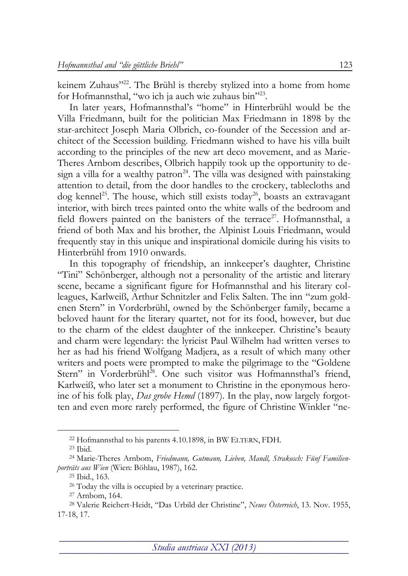keinem Zuhaus"<sup>22</sup>. The Brühl is thereby stylized into a home from home for Hofmannsthal, "wo ich ja auch wie zuhaus bin"23.

In later years, Hofmannsthal's "home" in Hinterbrühl would be the Villa Friedmann, built for the politician Max Friedmann in 1898 by the star-architect Joseph Maria Olbrich, co-founder of the Secession and architect of the Secession building. Friedmann wished to have his villa built according to the principles of the new art deco movement, and as Marie-Theres Arnbom describes, Olbrich happily took up the opportunity to design a villa for a wealthy patron<sup>24</sup>. The villa was designed with painstaking attention to detail, from the door handles to the crockery, tablecloths and dog kennel<sup>25</sup>. The house, which still exists today<sup>26</sup>, boasts an extravagant interior, with birch trees painted onto the white walls of the bedroom and field flowers painted on the banisters of the terrace<sup>27</sup>. Hofmannsthal, a friend of both Max and his brother, the Alpinist Louis Friedmann, would frequently stay in this unique and inspirational domicile during his visits to Hinterbrühl from 1910 onwards.

In this topography of friendship, an innkeeper's daughter, Christine "Tini" Schönberger, although not a personality of the artistic and literary scene, became a significant figure for Hofmannsthal and his literary colleagues, Karlweiß, Arthur Schnitzler and Felix Salten. The inn "zum goldenen Stern" in Vorderbrühl, owned by the Schönberger family, became a beloved haunt for the literary quartet, not for its food, however, but due to the charm of the eldest daughter of the innkeeper. Christine's beauty and charm were legendary: the lyricist Paul Wilhelm had written verses to her as had his friend Wolfgang Madjera, as a result of which many other writers and poets were prompted to make the pilgrimage to the "Goldene Stern" in Vorderbrühl<sup>28</sup>. One such visitor was Hofmannsthal's friend, Karlweiß, who later set a monument to Christine in the eponymous heroine of his folk play, *Das grobe Hemd* (1897). In the play, now largely forgotten and even more rarely performed, the figure of Christine Winkler "ne-

<sup>22</sup> Hofmannsthal to his parents 4.10.1898, in BW ELTERN, FDH.

<sup>23</sup> Ibid.

<sup>24</sup> Marie-Theres Arnbom, *Friedmann, Gutmann, Lieben, Mandl, Strakosch: Fünf Familienporträts aus Wien* (Wien: Böhlau, 1987), 162.

<sup>25</sup> Ibid., 163.

<sup>&</sup>lt;sup>26</sup> Today the villa is occupied by a veterinary practice.

<sup>27</sup> Arnbom, 164.

<sup>28</sup> Valerie Reichert-Heidt, "Das Urbild der Christine", *Neues Österreich*, 13. Nov. 1955, 17-18, 17.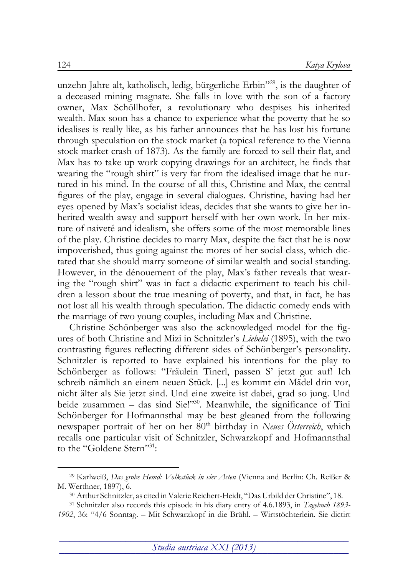unzehn Jahre alt, katholisch, ledig, bürgerliche Erbin" 29 , is the daughter of a deceased mining magnate. She falls in love with the son of a factory owner, Max Schöllhofer, a revolutionary who despises his inherited wealth. Max soon has a chance to experience what the poverty that he so idealises is really like, as his father announces that he has lost his fortune through speculation on the stock market (a topical reference to the Vienna stock market crash of 1873). As the family are forced to sell their flat, and Max has to take up work copying drawings for an architect, he finds that wearing the "rough shirt" is very far from the idealised image that he nurtured in his mind. In the course of all this, Christine and Max, the central figures of the play, engage in several dialogues. Christine, having had her eyes opened by Max's socialist ideas, decides that she wants to give her inherited wealth away and support herself with her own work. In her mixture of naiveté and idealism, she offers some of the most memorable lines of the play. Christine decides to marry Max, despite the fact that he is now impoverished, thus going against the mores of her social class, which dictated that she should marry someone of similar wealth and social standing. However, in the dénouement of the play, Max's father reveals that wearing the "rough shirt" was in fact a didactic experiment to teach his children a lesson about the true meaning of poverty, and that, in fact, he has not lost all his wealth through speculation. The didactic comedy ends with the marriage of two young couples, including Max and Christine.

Christine Schönberger was also the acknowledged model for the figures of both Christine and Mizi in Schnitzler's *Liebelei* (1895), with the two contrasting figures reflecting different sides of Schönberger's personality. Schnitzler is reported to have explained his intentions for the play to Schönberger as follows: "Fräulein Tinerl, passen S' jetzt gut auf! Ich schreib nämlich an einem neuen Stück. [...] es kommt ein Mädel drin vor, nicht älter als Sie jetzt sind. Und eine zweite ist dabei, grad so jung. Und beide zusammen - das sind Sie!"<sup>30</sup>. Meanwhile, the significance of Tini Schönberger for Hofmannsthal may be best gleaned from the following newspaper portrait of her on her 80<sup>th</sup> birthday in *Neues Österreich*, which recalls one particular visit of Schnitzler, Schwarzkopf and Hofmannsthal to the "Goldene Stern" 31:

<sup>29</sup> Karlweiß, *Das grobe Hemd: Volkstück in vier Acten* (Vienna and Berlin: Ch. Reißer & M. Werthner, 1897), 6.

<sup>30</sup> Arthur Schnitzler, as cited inValerie Reichert-Heidt, "Das Urbild der Christine", 18.

<sup>31</sup> Schnitzler also records this episode in his diary entry of 4.6.1893, in *Tagebuch 1893- 1902*, 36: "4/6 Sonntag. – Mit Schwarzkopf in die Brühl. – Wirtstöchterlein. Sie dictirt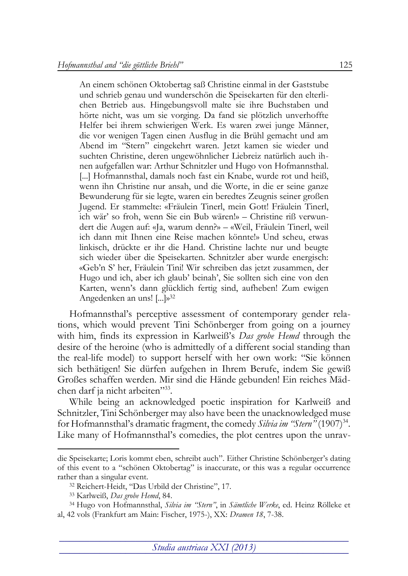An einem schönen Oktobertag saß Christine einmal in der Gaststube und schrieb genau und wunderschön die Speisekarten für den elterlichen Betrieb aus. Hingebungsvoll malte sie ihre Buchstaben und hörte nicht, was um sie vorging. Da fand sie plötzlich unverhoffte Helfer bei ihrem schwierigen Werk. Es waren zwei junge Männer, die vor wenigen Tagen einen Ausflug in die Brühl gemacht und am Abend im "Stern" eingekehrt waren. Jetzt kamen sie wieder und suchten Christine, deren ungewöhnlicher Liebreiz natürlich auch ihnen aufgefallen war: Arthur Schnitzler und Hugo von Hofmannsthal. [...] Hofmannsthal, damals noch fast ein Knabe, wurde rot und heiß, wenn ihn Christine nur ansah, und die Worte, in die er seine ganze Bewunderung für sie legte, waren ein beredtes Zeugnis seiner großen Jugend. Er stammelte: «Fräulein Tinerl, mein Gott! Fräulein Tinerl, ich wär' so froh, wenn Sie ein Bub wären!» – Christine riß verwundert die Augen auf: «Ja, warum denn?» – «Weil, Fräulein Tinerl, weil ich dann mit Ihnen eine Reise machen könnte!» Und scheu, etwas linkisch, drückte er ihr die Hand. Christine lachte nur und beugte sich wieder über die Speisekarten. Schnitzler aber wurde energisch: «Geb'n S' her, Fräulein Tini! Wir schreiben das jetzt zusammen, der Hugo und ich, aber ich glaub' beinah', Sie sollten sich eine von den Karten, wenn's dann glücklich fertig sind, aufheben! Zum ewigen Angedenken an uns! [...]» 32

Hofmannsthal's perceptive assessment of contemporary gender relations, which would prevent Tini Schönberger from going on a journey with him, finds its expression in Karlweiß's *Das grobe Hemd* through the desire of the heroine (who is admittedly of a different social standing than the real-life model) to support herself with her own work: "Sie können sich bethätigen! Sie dürfen aufgehen in Ihrem Berufe, indem Sie gewiß Großes schaffen werden. Mir sind die Hände gebunden! Ein reiches Mädchen darf ja nicht arbeiten" 33 .

While being an acknowledged poetic inspiration for Karlweiß and Schnitzler, Tini Schönberger may also have been the unacknowledged muse for Hofmannsthal's dramatic fragment, the comedy *Silvia im "Stern"* (1907)<sup>34</sup>. Like many of Hofmannsthal's comedies, the plot centres upon the unrav-

die Speisekarte; Loris kommt eben, schreibt auch". Either Christine Schönberger's dating of this event to a "schönen Oktobertag" is inaccurate, or this was a regular occurrence rather than a singular event.

<sup>32</sup> Reichert-Heidt, "Das Urbild der Christine", 17.

<sup>33</sup> Karlweiß, *Das grobe Hemd*, 84.

<sup>34</sup> Hugo von Hofmannsthal, *Silvia im "Stern"*, in *Sämtliche Werke*, ed. Heinz Rölleke et al, 42 vols (Frankfurt am Main: Fischer, 1975-), XX: *Dramen 18*, 7-38.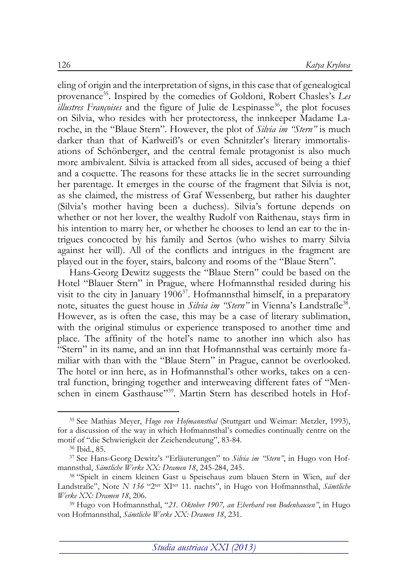eling of origin and the interpretation of signs, in this case that of genealogical provenance<sup>35</sup>. Inspired by the comedies of Goldoni, Robert Chasles's Les illustres Françoises and the figure of Julie de Lespinasse<sup>36</sup>, the plot focuses on Silvia, who resides with her protectoress, the innkeeper Madame Laroche, in the "Blaue Stern". However, the plot of *Silvia im "Stern"* is much darker than that of Karlweiß's or even Schnitzler's literary immortalisations of Schönberger, and the central female protagonist is also much more ambivalent. Silvia is attacked from all sides, accused of being a thief and a coquette. The reasons for these attacks lie in the secret surrounding her parentage. It emerges in the course of the fragment that Silvia is not, as she claimed, the mistress of Graf Wessenberg, but rather his daughter (Silvia's mother having been a duchess). Silvia's fortune depends on whether or not her lover, the wealthy Rudolf von Raithenau, stays firm in his intention to marry her, or whether he chooses to lend an ear to the intrigues concocted by his family and Sertos (who wishes to marry Silvia against her will). All of the conflicts and intrigues in the fragment are played out in the foyer, stairs, balcony and rooms of the "Blaue Stern".

Hans-Georg Dewitz suggests the "Blaue Stern" could be based on the Hotel "Blauer Stern" in Prague, where Hofmannsthal resided during his visit to the city in January 1906<sup>37</sup>. Hofmannsthal himself, in a preparatory note, situates the guest house in *Silvia im "Stern"* in Vienna's Landstraße<sup>38</sup>. However, as is often the case, this may be a case of literary sublimation, with the original stimulus or experience transposed to another time and place. The affinity of the hotel's name to another inn which also has "Stern" in its name, and an inn that Hofmannsthal was certainly more familiar with than with the "Blaue Stern" in Prague, cannot be overlooked. The hotel or inn here, as in Hofmannsthal's other works, takes on a central function, bringing together and interweaving different fates of "Menschen in einem Gasthause"<sup>39</sup>. Martin Stern has described hotels in Hof-

<sup>35</sup> See Mathias Meyer, *Hugo von Hofmannsthal* (Stuttgart und Weimar: Metzler, 1993), for a discussion of the way in which Hofmannsthal's comedies continually centre on the motif of "die Schwierigkeit der Zeichendeutung", 83-84.

<sup>36</sup> Ibid., 85.

<sup>37</sup> See Hans-Georg Dewitz's "Erläuterungen" to *Silvia im "Stern"*, in Hugo von Hofmannsthal, *Sämtliche Werke XX: Dramen 18*, 245-284, 245.

<sup>38</sup> "Spielt in einem kleinen Gast u Speisehaus zum blauen Stern in Wien, auf der Landstraße", Note *N 156* "2<sup>ter</sup> XI<sup>ter</sup> 11. nachts", in Hugo von Hofmannsthal, Sämtliche *Werke XX: Dramen 18*, 206.

<sup>39</sup> Hugo von Hofmannsthal, "*21. Oktober 1907, an Eberhard von Bodenhausen"*, in Hugo von Hofmannsthal, *Sämtliche Werke XX: Dramen 18*, 231.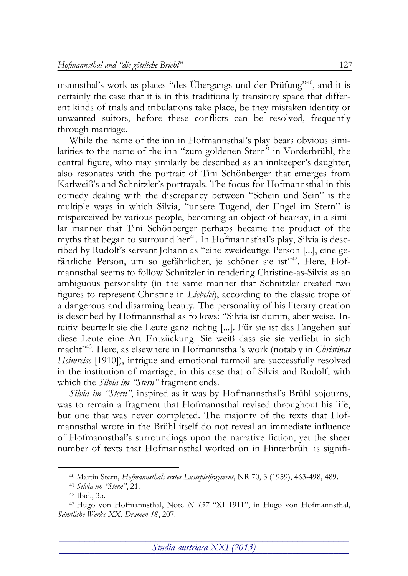mannsthal's work as places "des Übergangs und der Prüfung"<sup>40</sup>, and it is certainly the case that it is in this traditionally transitory space that different kinds of trials and tribulations take place, be they mistaken identity or unwanted suitors, before these conflicts can be resolved, frequently through marriage.

While the name of the inn in Hofmannsthal's play bears obvious similarities to the name of the inn "zum goldenen Stern" in Vorderbrühl, the central figure, who may similarly be described as an innkeeper's daughter, also resonates with the portrait of Tini Schönberger that emerges from Karlweiß's and Schnitzler's portrayals. The focus for Hofmannsthal in this comedy dealing with the discrepancy between "Schein und Sein" is the multiple ways in which Silvia, "unsere Tugend, der Engel im Stern" is misperceived by various people, becoming an object of hearsay, in a similar manner that Tini Schönberger perhaps became the product of the myths that began to surround her<sup>41</sup>. In Hofmannsthal's play, Silvia is described by Rudolf's servant Johann as "eine zweideutige Person [...], eine gefährliche Person, um so gefährlicher, je schöner sie ist"<sup>42</sup>. Here, Hofmannsthal seems to follow Schnitzler in rendering Christine-as-Silvia as an ambiguous personality (in the same manner that Schnitzler created two figures to represent Christine in *Liebelei*), according to the classic trope of a dangerous and disarming beauty. The personality of his literary creation is described by Hofmannsthal as follows: "Silvia ist dumm, aber weise. Intuitiv beurteilt sie die Leute ganz richtig [...]. Für sie ist das Eingehen auf diese Leute eine Art Entzückung. Sie weiß dass sie sie verliebt in sich macht<sup>243</sup>. Here, as elsewhere in Hofmannsthal's work (notably in *Christinas Heimreise* [1910]), intrigue and emotional turmoil are successfully resolved in the institution of marriage, in this case that of Silvia and Rudolf, with which the *Silvia im "Stern"* fragment ends.

*Silvia im "Stern"*, inspired as it was by Hofmannsthal's Brühl sojourns, was to remain a fragment that Hofmannsthal revised throughout his life, but one that was never completed. The majority of the texts that Hofmannsthal wrote in the Brühl itself do not reveal an immediate influence of Hofmannsthal's surroundings upon the narrative fiction, yet the sheer number of texts that Hofmannsthal worked on in Hinterbrühl is signifi-

<sup>40</sup> Martin Stern, *Hofmannsthals erstes Lustspielfragment*, NR 70, 3 (1959), 463-498, 489.

<sup>41</sup> *Silvia im "Stern"*, 21.

<sup>42</sup> Ibid., 35.

<sup>43</sup> Hugo von Hofmannsthal, Note *N 157* "XI 1911", in Hugo von Hofmannsthal, *Sämtliche Werke XX: Dramen 18*, 207.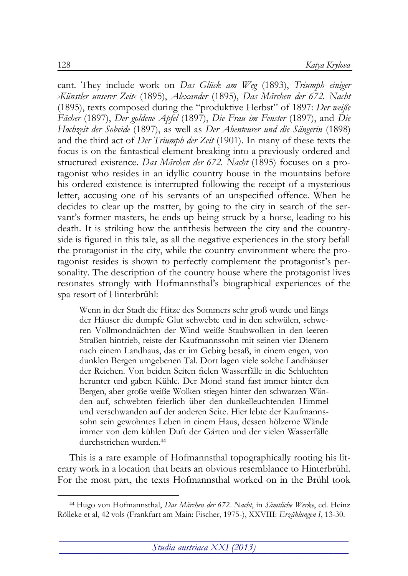cant. They include work on *Das Glück am Weg* (1893), *Triumph einiger ›Künstler unserer Zeit‹* (1895), *Alexander* (1895), *Das Märchen der 672. Nacht* (1895), texts composed during the "produktive Herbst" of 1897: *Der weiße Fächer* (1897), *Der goldene Apfel* (1897), *Die Frau im Fenster* (1897), and *Die Hochzeit der Sobeide* (1897), as well as *Der Abenteurer und die Sängerin* (1898) and the third act of *Der Triumph der Zeit* (1901). In many of these texts the focus is on the fantastical element breaking into a previously ordered and structured existence. *Das Märchen der 672. Nacht* (1895) focuses on a protagonist who resides in an idyllic country house in the mountains before his ordered existence is interrupted following the receipt of a mysterious letter, accusing one of his servants of an unspecified offence. When he decides to clear up the matter, by going to the city in search of the servant's former masters, he ends up being struck by a horse, leading to his death. It is striking how the antithesis between the city and the countryside is figured in this tale, as all the negative experiences in the story befall the protagonist in the city, while the country environment where the protagonist resides is shown to perfectly complement the protagonist's personality. The description of the country house where the protagonist lives resonates strongly with Hofmannsthal's biographical experiences of the spa resort of Hinterbrühl:

Wenn in der Stadt die Hitze des Sommers sehr groß wurde und längs der Häuser die dumpfe Glut schwebte und in den schwülen, schweren Vollmondnächten der Wind weiße Staubwolken in den leeren Straßen hintrieb, reiste der Kaufmannssohn mit seinen vier Dienern nach einem Landhaus, das er im Gebirg besaß, in einem engen, von dunklen Bergen umgebenen Tal. Dort lagen viele solche Landhäuser der Reichen. Von beiden Seiten fielen Wasserfälle in die Schluchten herunter und gaben Kühle. Der Mond stand fast immer hinter den Bergen, aber große weiße Wolken stiegen hinter den schwarzen Wänden auf, schwebten feierlich über den dunkelleuchtenden Himmel und verschwanden auf der anderen Seite. Hier lebte der Kaufmannssohn sein gewohntes Leben in einem Haus, dessen hölzerne Wände immer von dem kühlen Duft der Gärten und der vielen Wasserfälle durchstrichen wurden. 44

This is a rare example of Hofmannsthal topographically rooting his literary work in a location that bears an obvious resemblance to Hinterbrühl. For the most part, the texts Hofmannsthal worked on in the Brühl took

<sup>-</sup><sup>44</sup> Hugo von Hofmannsthal, *Das Märchen der 672. Nacht*, in *Sämtliche Werke*, ed. Heinz Rölleke et al, 42 vols (Frankfurt am Main: Fischer, 1975-), XXVIII: *Erzählungen I*, 13-30.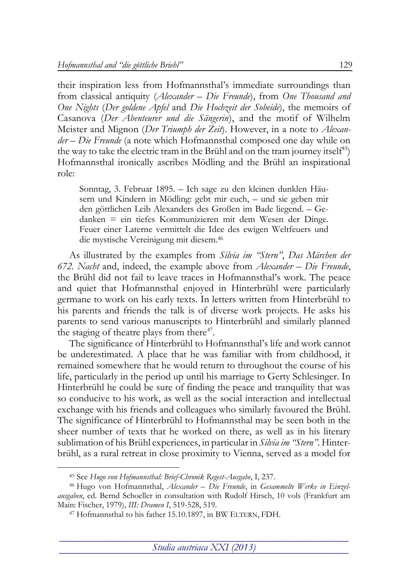their inspiration less from Hofmannsthal's immediate surroundings than from classical antiquity (*Alexander – Die Freunde*), from *One Thousand and One Nights* (*Der goldene Apfel* and *Die Hochzeit der Sobeide*), the memoirs of Casanova (*Der Abenteurer und die Sängerin*), and the motif of Wilhelm Meister and Mignon (*Der Triumph der Zeit*). However, in a note to *Alexander – Die Freunde* (a note which Hofmannsthal composed one day while on the way to take the electric tram in the Brühl and on the tram journey itself<sup>45</sup>) Hofmannsthal ironically ascribes Mödling and the Brühl an inspirational role:

Sonntag, 3. Februar 1895. – Ich sage zu den kleinen dunklen Häusern und Kindern in Mödling: gebt mir euch, – und sie geben mir den göttlichen Leib Alexanders des Großen im Bade liegend. – Gedanken = ein tiefes Kommunizieren mit dem Wesen der Dinge. Feuer einer Laterne vermittelt die Idee des ewigen Weltfeuers und die mystische Vereinigung mit diesem.<sup>46</sup>

As illustrated by the examples from *Silvia im "Stern"*, *Das Märchen der 672. Nacht* and, indeed, the example above from *Alexander – Die Freunde*, the Brühl did not fail to leave traces in Hofmannsthal's work. The peace and quiet that Hofmannsthal enjoyed in Hinterbrühl were particularly germane to work on his early texts. In letters written from Hinterbrühl to his parents and friends the talk is of diverse work projects. He asks his parents to send various manuscripts to Hinterbrühl and similarly planned the staging of theatre plays from there<sup>47</sup>.

The significance of Hinterbrühl to Hofmannsthal's life and work cannot be underestimated. A place that he was familiar with from childhood, it remained somewhere that he would return to throughout the course of his life, particularly in the period up until his marriage to Gerty Schlesinger. In Hinterbrühl he could be sure of finding the peace and tranquility that was so conducive to his work, as well as the social interaction and intellectual exchange with his friends and colleagues who similarly favoured the Brühl. The significance of Hinterbrühl to Hofmannsthal may be seen both in the sheer number of texts that he worked on there, as well as in his literary sublimation of his Brühl experiences, in particular in *Silvia im "Stern"*. Hinterbrühl, as a rural retreat in close proximity to Vienna, served as a model for

<sup>45</sup> See *Hugo von Hofmannsthal: Brief-Chronik Regest-Ausgabe*, I, 237.

<sup>46</sup> Hugo von Hofmannsthal, *Alexander – Die Freunde*, in *Gesammelte Werke in Einzelausgaben*, ed. Bernd Schoeller in consultation with Rudolf Hirsch, 10 vols (Frankfurt am Main: Fischer, 1979), *III: Dramen I*, 519-528, 519.

<sup>47</sup> Hofmannsthal to his father 15.10.1897, in BW ELTERN, FDH.